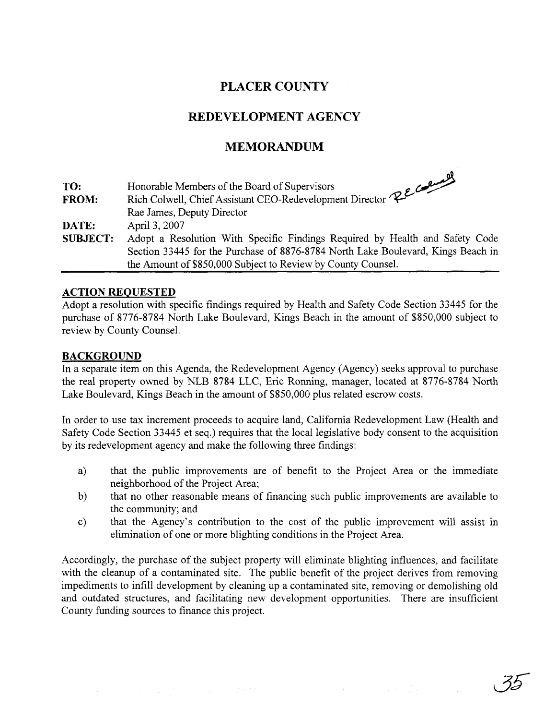## **PLACER COUNTY**

## **REDEVELOPMENT AGENCY**

## **MEMORANDUM**

| TO:             |                                                                                        |
|-----------------|----------------------------------------------------------------------------------------|
| <b>FROM:</b>    | Rich Colwell, Chief Assistant CEO-Redevelopment Director RECORE dames, Deputy Director |
|                 |                                                                                        |
| DATE:           | April 3, 2007                                                                          |
| <b>SUBJECT:</b> | Adopt a Resolution With Specific Findings Required by Health and Safety Code           |
|                 | Section 33445 for the Purchase of 8876-8784 North Lake Boulevard, Kings Beach in       |
|                 | the Amount of \$850,000 Subject to Review by County Counsel.                           |

#### **ACTION REOUESTED**

Adopt a resolution with specific findings required by Health and Safety Code Section 33445 for the purchase of 8776-8784 North Lake Boulevard, Kings Beach in the amount of \$850,000 subject to review by County Counsel.

#### **BACKGROUND**

In a separate item on this Agenda, the Redevelopment Agency (Agency) seeks approval to purchase the real property owned by NLB 8784 LLC, Eric Ronning, manager, located at 8776-8784 North Lake Boulevard, Kings Beach in the amount of \$850,000 plus related escrow costs.

In order to use tax increment proceeds to acquire land, California Redevelopment Law (Health and Safety Code Section 33445 et seq.) requires that the local legislative body consent to the acquisition by its redevelopment agency and make the following three findings:

- a) that the public improvements are of benefit to the Project Area or the immediate neighborhood of the Project Area;
- b) that no other reasonable means of financing such public improvements are available to the community; and
- c) that the Agency's contribution to the cost of the public improvement will assist in elimination of one or more blighting conditions in the Project Area.

Accordingly, the purchase of the subject property will eliminate blighting influences, and facilitate with the cleanup of a contaminated site. The public benefit of the project derives from removing impediments to infill development by cleaning up a contaminated site, removing or demolishing old and outdated structures, and facilitating new development opportunities. There are insufficient County funding sources to finance this project.

35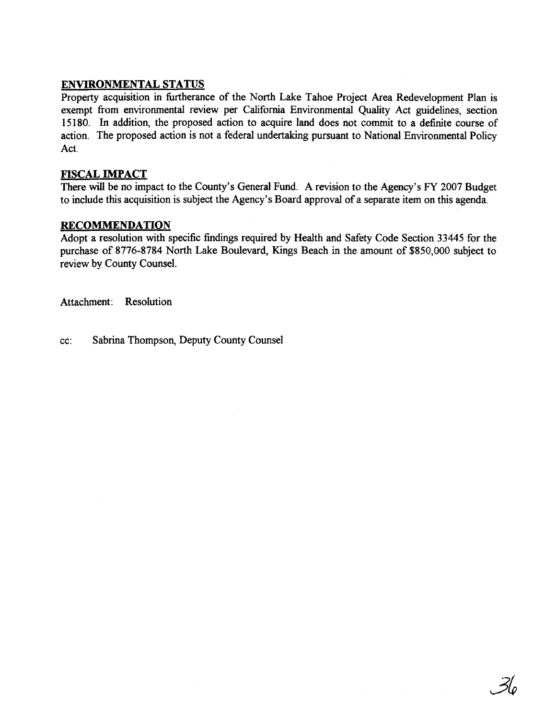### **ENVIRONMENTAL STATUS**

Property acquisition in furtherance of the North Lake Tahoe Project Area Redevelopment Plan is exempt fiom environmental review per California Environmental Quality Act guidelines, section 15180. In addition, the proposed action to acquire land does not commit to a definite course of action. The proposed action is not a federal undertaking pursuant to National Environmental Policy Act.

#### **FISCAL IMPACT**

There **will** be no impact to the County's General Fund. A revision to the Agency's FY 2007 Budget to include this acquisition is subject the Agency's Board approval of a separate item on this agenda.

#### **RECOMMENDATION**

Adopt a resolution with specific findings required by Health and Safety Code Section 33445 for the purchase of 8776-8784 North Lake Boulevard, Kings Beach in the amount of \$850,000 subject to review by County Counsel.

Attachment: Resolution

cc: Sabrina Thompson, Deputy County Counsel

 $\mathcal{Z}_o$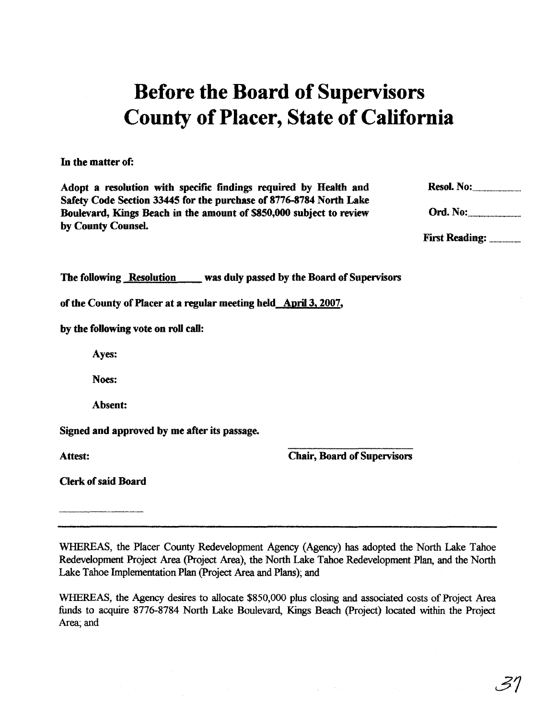# Before the Board of Supervisors County of Placer, State of California

In the matter of:

Adopt a resolution with specific findings required by **Health** and Safety Code Section 33445 for the purchase of **8776-8784** North Lake Boulevard, Kings Beach in the amount of \$850,000 subject to review by County Counsel.

**Resol. No:** 

Ord. No:

The following Resolution was duly passed by the Board of Supervisors

of the County of Placer at a regular meeting held April 3, 2007,

by the following vote on **roll** call:

Ayes:

**Noes:** 

Absent:

Signed and approved by me after its passage.

Attest:

Chair, Board of Supervisors

Clerk of said Board

WHEREAS, the Placer County Redevelopment Agency (Agency) has adopted the North Lake Tahoe Redevelopment Project Area (Project Area), the North Lake Tahoe Redevelopment Plan, and the North Lake Tahoe Implementation Plan (Project Area and Plans); and

WHEREAS, the Agency desires to allocate \$850,000 plus closing and associated costs of Project Area funds to acquire 8776-8784 North Lake Boulevard, Kings Beach (Project) located within the Project Area; and

. 37